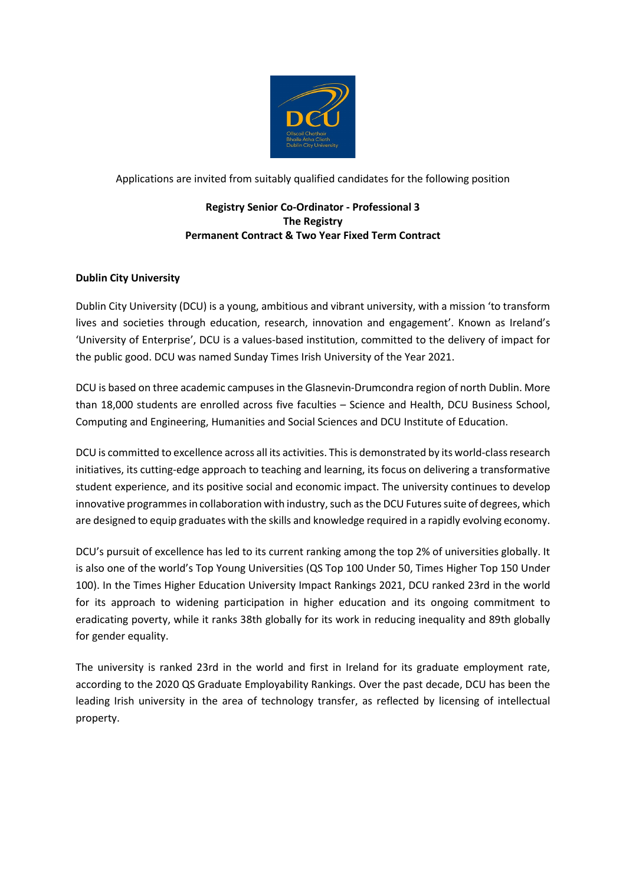

Applications are invited from suitably qualified candidates for the following position

## **Registry Senior Co-Ordinator - Professional 3 The Registry Permanent Contract & Two Year Fixed Term Contract**

# **Dublin City University**

Dublin City University (DCU) is a young, ambitious and vibrant university, with a mission 'to transform lives and societies through education, research, innovation and engagement'. Known as Ireland's 'University of Enterprise', DCU is a values-based institution, committed to the delivery of impact for the public good. DCU was named Sunday Times Irish University of the Year 2021.

DCU is based on three academic campuses in the Glasnevin-Drumcondra region of north Dublin. More than 18,000 students are enrolled across five faculties – Science and Health, DCU Business School, Computing and Engineering, Humanities and Social Sciences and DCU Institute of Education.

DCU is committed to excellence across all its activities. This is demonstrated by its world-class research initiatives, its cutting-edge approach to teaching and learning, its focus on delivering a transformative student experience, and its positive social and economic impact. The university continues to develop innovative programmes in collaboration with industry, such as the DCU Futures suite of degrees, which are designed to equip graduates with the skills and knowledge required in a rapidly evolving economy.

DCU's pursuit of excellence has led to its current ranking among the top 2% of universities globally. It is also one of the world's Top Young Universities (QS Top 100 Under 50, Times Higher Top 150 Under 100). In the Times Higher Education University Impact Rankings 2021, DCU ranked 23rd in the world for its approach to widening participation in higher education and its ongoing commitment to eradicating poverty, while it ranks 38th globally for its work in reducing inequality and 89th globally for gender equality.

The university is ranked 23rd in the world and first in Ireland for its graduate employment rate, according to the 2020 QS Graduate Employability Rankings. Over the past decade, DCU has been the leading Irish university in the area of technology transfer, as reflected by licensing of intellectual property.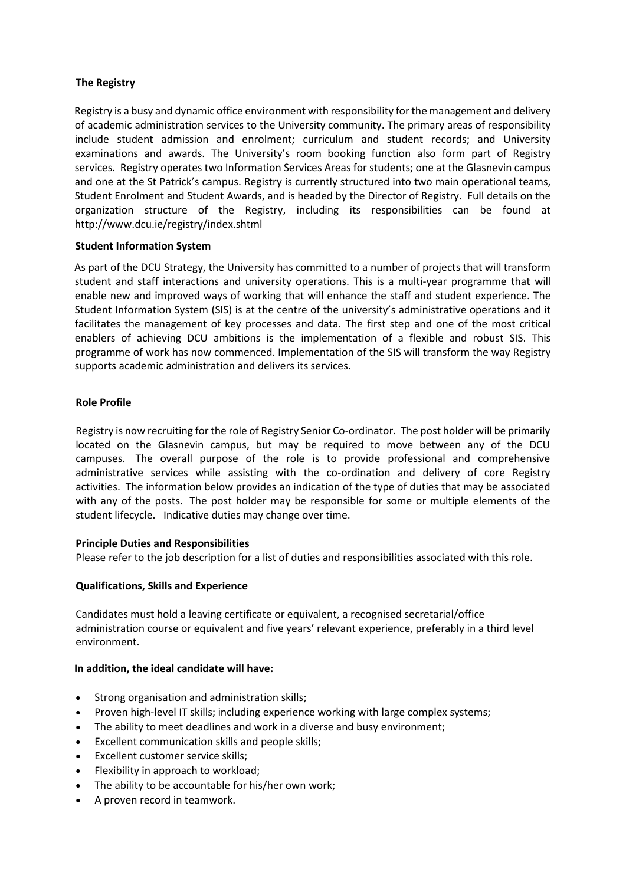## **The Registry**

Registry is a busy and dynamic office environment with responsibility for the management and delivery of academic administration services to the University community. The primary areas of responsibility include student admission and enrolment; curriculum and student records; and University examinations and awards. The University's room booking function also form part of Registry services. Registry operates two Information Services Areas for students; one at the Glasnevin campus and one at the St Patrick's campus. Registry is currently structured into two main operational teams, Student Enrolment and Student Awards, and is headed by the Director of Registry. Full details on the organization structure of the Registry, including its responsibilities can be found at <http://www.dcu.ie/registry/index.shtml>

## **Student Information System**

As part of the DCU Strategy, the University has committed to a number of projects that will transform student and staff interactions and university operations. This is a multi-year programme that will enable new and improved ways of working that will enhance the staff and student experience. The Student Information System (SIS) is at the centre of the university's administrative operations and it facilitates the management of key processes and data. The first step and one of the most critical enablers of achieving DCU ambitions is the implementation of a flexible and robust SIS. This programme of work has now commenced. Implementation of the SIS will transform the way Registry supports academic administration and delivers its services.

#### **Role Profile**

Registry is now recruiting for the role of Registry Senior Co-ordinator. The post holder will be primarily located on the Glasnevin campus, but may be required to move between any of the DCU campuses. The overall purpose of the role is to provide professional and comprehensive administrative services while assisting with the co-ordination and delivery of core Registry activities. The information below provides an indication of the type of duties that may be associated with any of the posts. The post holder may be responsible for some or multiple elements of the student lifecycle. Indicative duties may change over time.

#### **Principle Duties and Responsibilities**

Please refer to the job description for a list of duties and responsibilities associated with this role.

#### **Qualifications, Skills and Experience**

Candidates must hold a leaving certificate or equivalent, a recognised secretarial/office administration course or equivalent and five years' relevant experience, preferably in a third level environment.

#### **In addition, the ideal candidate will have:**

- Strong organisation and administration skills;
- Proven high-level IT skills; including experience working with large complex systems;
- The ability to meet deadlines and work in a diverse and busy environment;
- Excellent communication skills and people skills;
- Excellent customer service skills;
- Flexibility in approach to workload;
- The ability to be accountable for his/her own work;
- A proven record in teamwork.